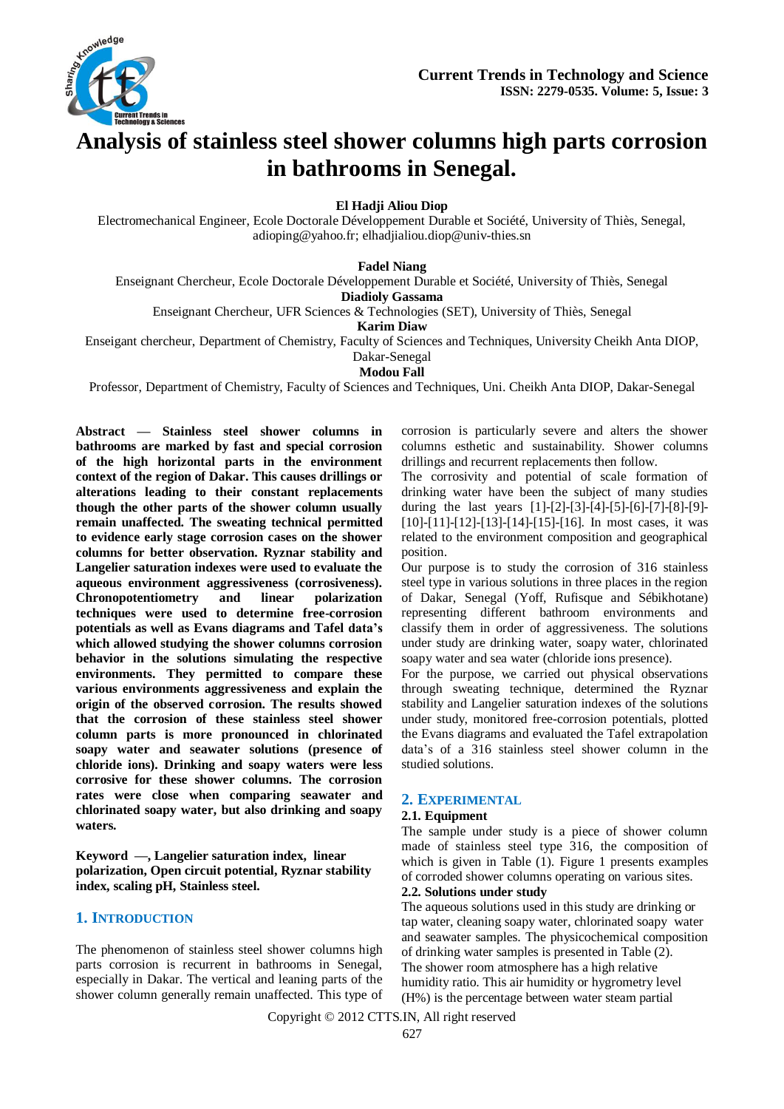

# **Analysis of stainless steel shower columns high parts corrosion in bathrooms in Senegal.**

**El Hadji Aliou Diop**

Electromechanical Engineer, Ecole Doctorale Développement Durable et Société, University of Thiès, Senegal, [adioping@yahoo.fr;](mailto:adioping@yahoo.fr) elhadjialiou.diop@univ-thies.sn

**Fadel Niang**

Enseignant Chercheur, Ecole Doctorale Développement Durable et Société, University of Thiès, Senegal

**Diadioly Gassama**

Enseignant Chercheur, UFR Sciences & Technologies (SET), University of Thiès, Senegal

**Karim Diaw**

Enseigant chercheur, Department of Chemistry, Faculty of Sciences and Techniques, University Cheikh Anta DIOP,

Dakar-Senegal

**Modou Fall**

Professor, Department of Chemistry, Faculty of Sciences and Techniques, Uni. Cheikh Anta DIOP, Dakar-Senegal

**Abstract — Stainless steel shower columns in bathrooms are marked by fast and special corrosion of the high horizontal parts in the environment context of the region of Dakar. This causes drillings or alterations leading to their constant replacements though the other parts of the shower column usually remain unaffected. The sweating technical permitted to evidence early stage corrosion cases on the shower columns for better observation. Ryznar stability and Langelier saturation indexes were used to evaluate the aqueous environment aggressiveness (corrosiveness). Chronopotentiometry and linear polarization techniques were used to determine free-corrosion potentials as well as Evans diagrams and Tafel data's which allowed studying the shower columns corrosion behavior in the solutions simulating the respective environments. They permitted to compare these various environments aggressiveness and explain the origin of the observed corrosion. The results showed that the corrosion of these stainless steel shower column parts is more pronounced in chlorinated soapy water and seawater solutions (presence of chloride ions). Drinking and soapy waters were less corrosive for these shower columns. The corrosion rates were close when comparing seawater and chlorinated soapy water, but also drinking and soapy waters.**

**Keyword —, Langelier saturation index, linear polarization, Open circuit potential, Ryznar stability index, scaling pH, Stainless steel.**

# **1. INTRODUCTION**

The phenomenon of stainless steel shower columns high parts corrosion is recurrent in bathrooms in Senegal, especially in Dakar. The vertical and leaning parts of the shower column generally remain unaffected. This type of corrosion is particularly severe and alters the shower columns esthetic and sustainability. Shower columns drillings and recurrent replacements then follow.

The corrosivity and potential of scale formation of drinking water have been the subject of many studies during the last years [1]-[2]-[3]-[4]-[5]-[6]-[7]-[8]-[9]- [10]-[11]-[12]-[13]-[14]-[15]-[16]. In most cases, it was related to the environment composition and geographical position.

Our purpose is to study the corrosion of 316 stainless steel type in various solutions in three places in the region of Dakar, Senegal (Yoff, Rufisque and Sébikhotane) representing different bathroom environments and classify them in order of aggressiveness. The solutions under study are drinking water, soapy water, chlorinated soapy water and sea water (chloride ions presence).

For the purpose, we carried out physical observations through sweating technique, determined the Ryznar stability and Langelier saturation indexes of the solutions under study, monitored free-corrosion potentials, plotted the Evans diagrams and evaluated the Tafel extrapolation data's of a 316 stainless steel shower column in the studied solutions.

# **2. EXPERIMENTAL**

#### **2.1. Equipment**

The sample under study is a piece of shower column made of stainless steel type 316, the composition of which is given in Table (1). Figure 1 presents examples of corroded shower columns operating on various sites. **2.2. Solutions under study**

The aqueous solutions used in this study are drinking or tap water, cleaning soapy water, chlorinated soapy water and seawater samples. The physicochemical composition of drinking water samples is presented in Table (2). The shower room atmosphere has a high relative humidity ratio. This air humidity or hygrometry level (H%) is the percentage between water steam partial

Copyright © 2012 CTTS.IN, All right reserved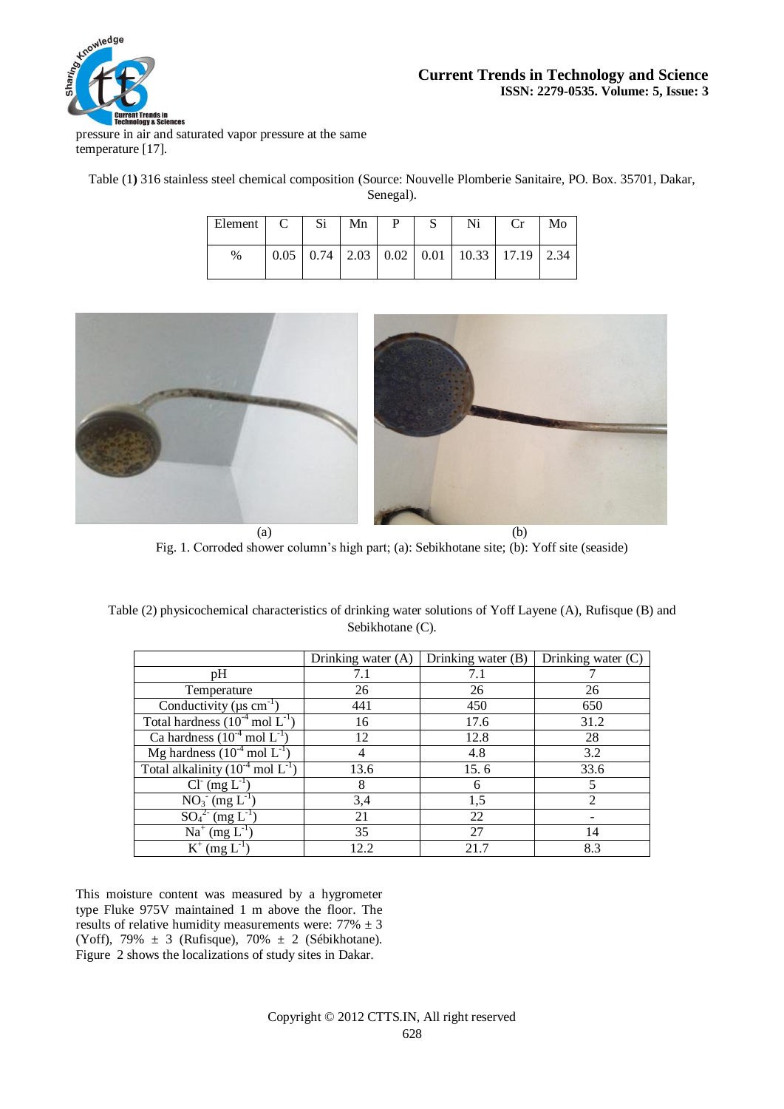

# **Current Trends in Technology and Science ISSN: 2279-0535. Volume: 5, Issue: 3**

pressure in air and saturated vapor pressure at the same temperature [17].

Table (1**)** 316 stainless steel chemical composition (Source: Nouvelle Plomberie Sanitaire, PO. Box. 35701, Dakar, Senegal).

| Element | $\mathcal{C}$ | Si | Mn | P | S | Ni                                                        | Cr | Mo |
|---------|---------------|----|----|---|---|-----------------------------------------------------------|----|----|
| %       |               |    |    |   |   | $0.05$   0.74   2.03   0.02   0.01   10.33   17.19   2.34 |    |    |



Fig. 1. Corroded shower column's high part; (a): Sebikhotane site; (b): Yoff site (seaside)

|                                                    | Drinking water (A) | Drinking water (B) | Drinking water $(C)$ |  |
|----------------------------------------------------|--------------------|--------------------|----------------------|--|
| pH                                                 | 7.1                | 7.1                |                      |  |
| Temperature                                        | 26                 | 26                 | 26                   |  |
| Conductivity ( $\mu$ s cm <sup>-1</sup> )          | 441                | 450                | 650                  |  |
| Total hardness $(10^{-4} \text{ mol } L^{-1})$     | 16                 | 17.6               | 31.2                 |  |
| Ca hardness $(10^{-4} \text{ mol } L^{-1})$        | 12                 | 12.8               | 28                   |  |
| Mg hardness $(10^{-4} \text{ mol } L^{-1})$        |                    | 4.8                | 3.2                  |  |
| Total alkalinity $(10^{-4} \text{ mol } L^{-1})$   | 13.6               | 15.6               | 33.6                 |  |
| $\overline{CI}^{\cdot}$ (mg $L^{\cdot}$            | 8                  | 6                  | 5                    |  |
| $\overline{NO_3}$ (mg $L^{-1}$ )                   | 3,4                | 1,5                | $\mathfrak{D}$       |  |
| $\overline{{\rm SO}_4{}^{2-}}$ (mg L <sup>-1</sup> | 21                 | 22                 |                      |  |
| $\overline{Na^+}$ (mg $L^{-1}$ )                   | 35                 | 27                 | 14                   |  |
| $K^+$<br>$(mg L^{-1})$                             | 12.2               | 21.7               | 8.3                  |  |

Table (2) physicochemical characteristics of drinking water solutions of Yoff Layene (A), Rufisque (B) and Sebikhotane (C).

This moisture content was measured by a hygrometer type Fluke 975V maintained 1 m above the floor. The results of relative humidity measurements were:  $77\% \pm 3$ (Yoff), 79% ± 3 (Rufisque), 70% ± 2 (Sébikhotane). Figure 2 shows the localizations of study sites in Dakar.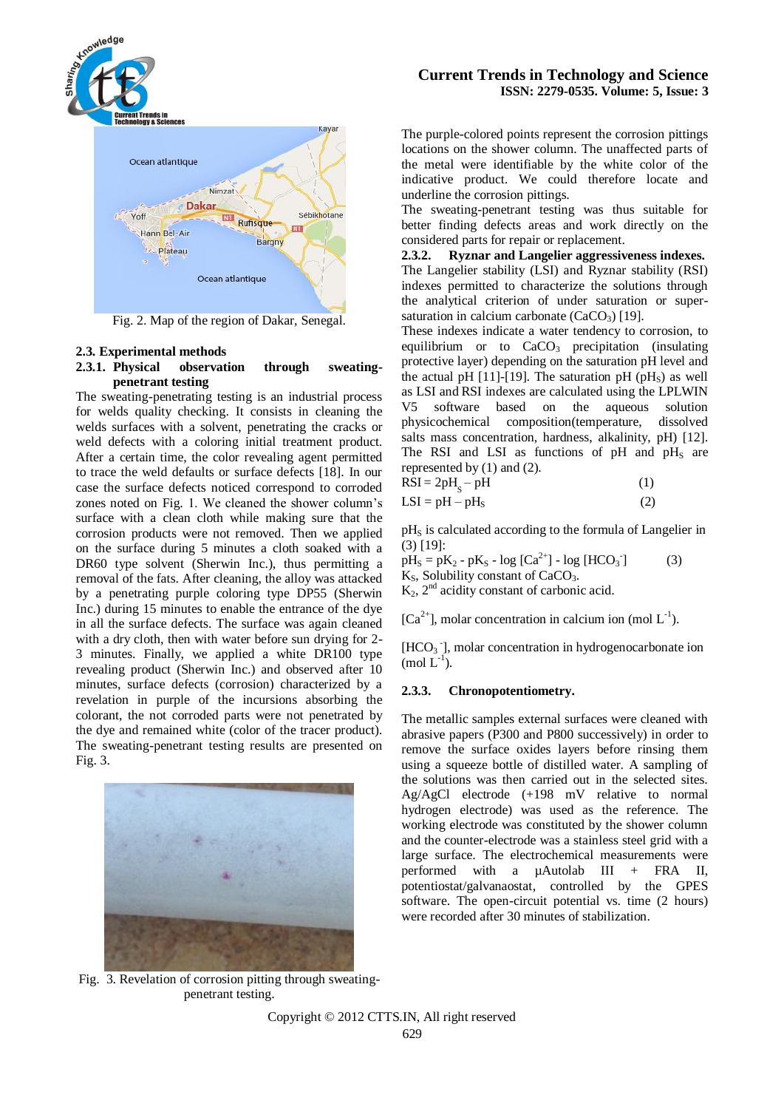

Fig. 2. Map of the region of Dakar, Senegal.

# **2.3. Experimental methods**

#### **2.3.1. Physical observation through sweatingpenetrant testing**

The sweating-penetrating testing is an industrial process for welds quality checking. It consists in cleaning the welds surfaces with a solvent, penetrating the cracks or weld defects with a coloring initial treatment product. After a certain time, the color revealing agent permitted to trace the weld defaults or surface defects [18]. In our case the surface defects noticed correspond to corroded zones noted on Fig. 1. We cleaned the shower column's surface with a clean cloth while making sure that the corrosion products were not removed. Then we applied on the surface during 5 minutes a cloth soaked with a DR60 type solvent (Sherwin Inc.), thus permitting a removal of the fats. After cleaning, the alloy was attacked by a penetrating purple coloring type DP55 (Sherwin Inc.) during 15 minutes to enable the entrance of the dye in all the surface defects. The surface was again cleaned with a dry cloth, then with water before sun drying for 2- 3 minutes. Finally, we applied a white DR100 type revealing product (Sherwin Inc.) and observed after 10 minutes, surface defects (corrosion) characterized by a revelation in purple of the incursions absorbing the colorant, the not corroded parts were not penetrated by the dye and remained white (color of the tracer product). The sweating-penetrant testing results are presented on Fig. 3.



## **Current Trends in Technology and Science ISSN: 2279-0535. Volume: 5, Issue: 3**

The purple-colored points represent the corrosion pittings locations on the shower column. The unaffected parts of the metal were identifiable by the white color of the indicative product. We could therefore locate and underline the corrosion pittings.

The sweating-penetrant testing was thus suitable for better finding defects areas and work directly on the considered parts for repair or replacement.

**2.3.2. Ryznar and Langelier aggressiveness indexes.** The Langelier stability (LSI) and Ryznar stability (RSI) indexes permitted to characterize the solutions through the analytical criterion of under saturation or supersaturation in calcium carbonate  $(CaCO<sub>3</sub>)$  [19].

These indexes indicate a water tendency to corrosion, to equilibrium or to  $CaCO<sub>3</sub>$  precipitation (insulating protective layer) depending on the saturation pH level and the actual pH  $[11]$ -[19]. The saturation pH (pH<sub>s</sub>) as well as LSI and RSI indexes are calculated using the LPLWIN V5 software based on the aqueous solution physicochemical composition(temperature, dissolved salts mass concentration, hardness, alkalinity, pH) [12]. The RSI and LSI as functions of  $pH$  and  $pH_s$  are represented by (1) and (2).  $\vec{R}$   $\vec{S}$  =  $2nH$ 

| $RSI = 2pHs - pH$ |     |
|-------------------|-----|
| $LSI = pH - pHS$  | (2) |

pH<sub>S</sub> is calculated according to the formula of Langelier in (3) [19]:

 $pH_S = pK_2 - pK_S - log [Ca^{2+}] - log [HCO_3]$  $(3)$  $K<sub>S</sub>$ , Solubility constant of CaCO<sub>3</sub>.  $K_2$ ,  $2<sup>nd</sup>$  acidity constant of carbonic acid.

 $[Ca^{2+}]$ , molar concentration in calcium ion (mol  $L^{-1}$ ).

[HCO<sub>3</sub><sup>-</sup>], molar concentration in hydrogenocarbonate ion  $\pmod{L^{-1}}$ .

#### **2.3.3. Chronopotentiometry.**

The metallic samples external surfaces were cleaned with abrasive papers (P300 and P800 successively) in order to remove the surface oxides layers before rinsing them using a squeeze bottle of distilled water. A sampling of the solutions was then carried out in the selected sites. Ag/AgCl electrode (+198 mV relative to normal hydrogen electrode) was used as the reference. The working electrode was constituted by the shower column and the counter-electrode was a stainless steel grid with a large surface. The electrochemical measurements were performed with a µAutolab III + FRA II, potentiostat/galvanaostat, controlled by the GPES software. The open-circuit potential vs. time (2 hours) were recorded after 30 minutes of stabilization.

Fig. 3. Revelation of corrosion pitting through sweatingpenetrant testing.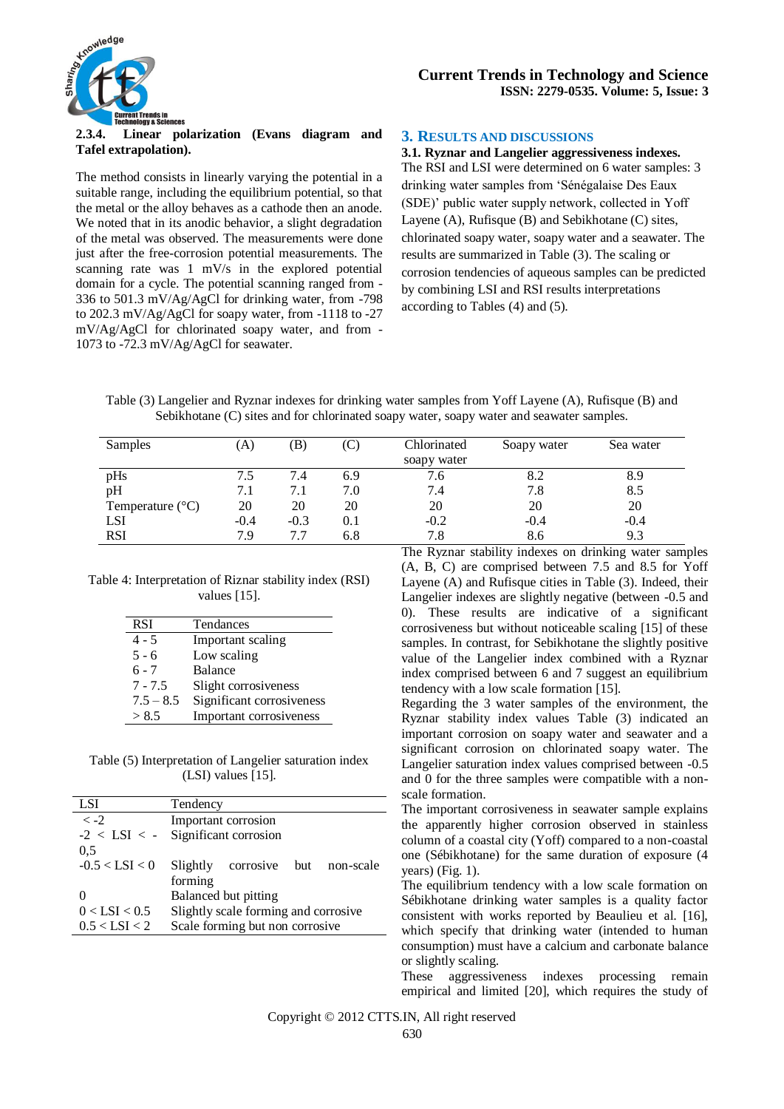

#### **2.3.4. Linear polarization (Evans diagram and Tafel extrapolation).**

The method consists in linearly varying the potential in a suitable range, including the equilibrium potential, so that the metal or the alloy behaves as a cathode then an anode. We noted that in its anodic behavior, a slight degradation of the metal was observed. The measurements were done just after the free-corrosion potential measurements. The scanning rate was 1 mV/s in the explored potential domain for a cycle. The potential scanning ranged from - 336 to 501.3 mV/Ag/AgCl for drinking water, from -798 to 202.3 mV/Ag/AgCl for soapy water, from -1118 to -27 mV/Ag/AgCl for chlorinated soapy water, and from - 1073 to -72.3 mV/Ag/AgCl for seawater.

## **3. RESULTS AND DISCUSSIONS**

**3.1. Ryznar and Langelier aggressiveness indexes.** The RSI and LSI were determined on 6 water samples: 3 drinking water samples from 'Sénégalaise Des Eaux (SDE)' public water supply network, collected in Yoff Layene (A), Rufisque (B) and Sebikhotane (C) sites, chlorinated soapy water, soapy water and a seawater. The results are summarized in Table (3). The scaling or corrosion tendencies of aqueous samples can be predicted by combining LSI and RSI results interpretations according to Tables (4) and (5).

Table (3) Langelier and Ryznar indexes for drinking water samples from Yoff Layene (A), Rufisque (B) and Sebikhotane (C) sites and for chlorinated soapy water, soapy water and seawater samples.

| Samples                   | A)     | B)     | (C) | Chlorinated | Soapy water | Sea water |
|---------------------------|--------|--------|-----|-------------|-------------|-----------|
|                           |        |        |     | soapy water |             |           |
| pHs                       | 7.5    | 7.4    | 6.9 | 7.6         |             | 8.9       |
| pH                        | 7.1    | 7.1    | 7.0 | 7.4         | 7.8         | 8.5       |
| Temperature $(^{\circ}C)$ | 20     | 20     | 20  | 20          | 20          | 20        |
| <b>LSI</b>                | $-0.4$ | $-0.3$ | 0.1 | $-0.2$      | $-0.4$      | $-0.4$    |
| <b>RSI</b>                | 7.9    | 7.7    | 6.8 | 7.8         | 8.6         | 9.3       |

#### Table 4: Interpretation of Riznar stability index (RSI) values [15].

| <b>RSI</b>  | Tendances                 |
|-------------|---------------------------|
| $4 - 5$     | Important scaling         |
| $5 - 6$     | Low scaling               |
| ճ - 7       | <b>Balance</b>            |
| $7 - 7.5$   | Slight corrosiveness      |
| $7.5 - 8.5$ | Significant corrosiveness |
| > 8.5       | Important corrosiveness   |

Table (5) Interpretation of Langelier saturation index (LSI) values [15].

| <b>LSI</b>           | Tendency                                  |  |  |  |  |  |
|----------------------|-------------------------------------------|--|--|--|--|--|
| $\langle -2 \rangle$ | Important corrosion                       |  |  |  |  |  |
| $-2 <$ LSI $<$ -     | Significant corrosion                     |  |  |  |  |  |
| 0.5                  |                                           |  |  |  |  |  |
| $-0.5 <$ LSI $< 0$   | Slightly<br>non-scale<br>corrosive<br>but |  |  |  |  |  |
|                      | forming                                   |  |  |  |  |  |
|                      | Balanced but pitting                      |  |  |  |  |  |
| $0 <$ LSI $< 0.5$    | Slightly scale forming and corrosive      |  |  |  |  |  |
| $0.5 <$ LSI $<$ 2    | Scale forming but non corrosive           |  |  |  |  |  |
|                      |                                           |  |  |  |  |  |

The Ryznar stability indexes on drinking water samples (A, B, C) are comprised between 7.5 and 8.5 for Yoff Layene (A) and Rufisque cities in Table (3). Indeed, their Langelier indexes are slightly negative (between -0.5 and 0). These results are indicative of a significant corrosiveness but without noticeable scaling [15] of these samples. In contrast, for Sebikhotane the slightly positive value of the Langelier index combined with a Ryznar index comprised between 6 and 7 suggest an equilibrium tendency with a low scale formation [15].

Regarding the 3 water samples of the environment, the Ryznar stability index values Table (3) indicated an important corrosion on soapy water and seawater and a significant corrosion on chlorinated soapy water. The Langelier saturation index values comprised between -0.5 and 0 for the three samples were compatible with a nonscale formation.

The important corrosiveness in seawater sample explains the apparently higher corrosion observed in stainless column of a coastal city (Yoff) compared to a non-coastal one (Sébikhotane) for the same duration of exposure (4 years) (Fig. 1).

The equilibrium tendency with a low scale formation on Sébikhotane drinking water samples is a quality factor consistent with works reported by Beaulieu et al. [16], which specify that drinking water (intended to human consumption) must have a calcium and carbonate balance or slightly scaling.

These aggressiveness indexes processing remain empirical and limited [20], which requires the study of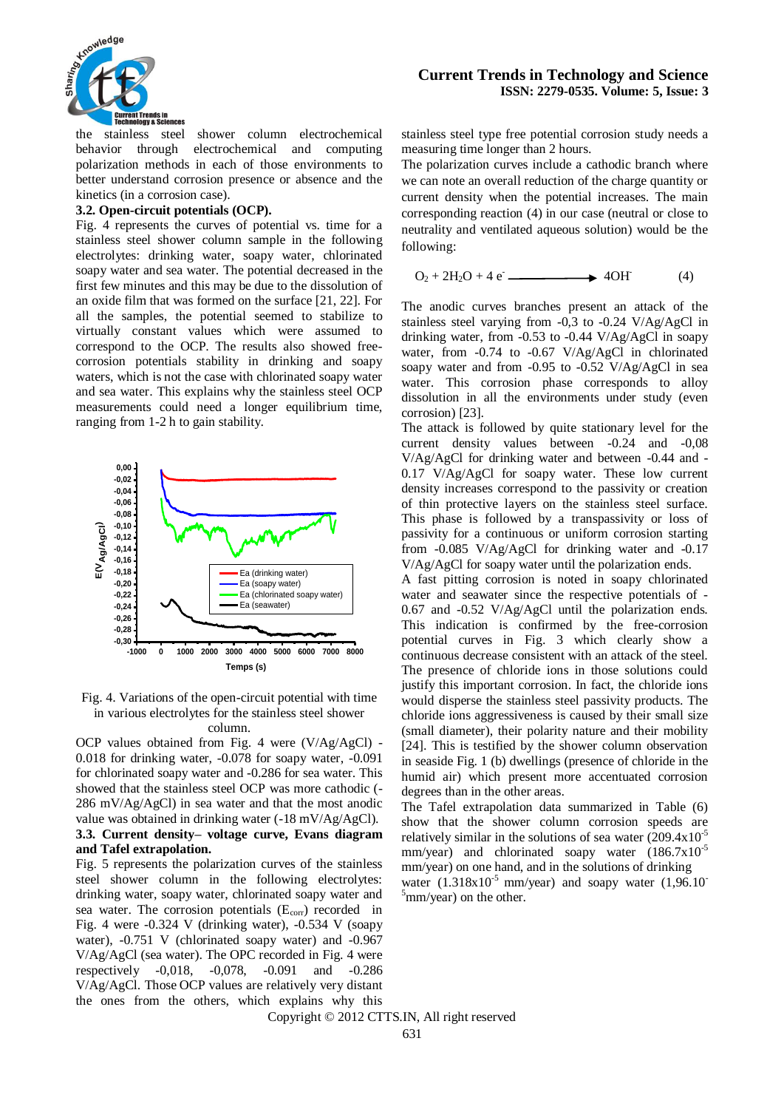

the stainless steel shower column electrochemical behavior through electrochemical and computing polarization methods in each of those environments to better understand corrosion presence or absence and the kinetics (in a corrosion case).

#### **3.2. Open-circuit potentials (OCP).**

Fig. 4 represents the curves of potential vs. time for a stainless steel shower column sample in the following electrolytes: drinking water, soapy water, chlorinated soapy water and sea water. The potential decreased in the first few minutes and this may be due to the dissolution of an oxide film that was formed on the surface [21, 22]. For all the samples, the potential seemed to stabilize to virtually constant values which were assumed to correspond to the OCP. The results also showed freecorrosion potentials stability in drinking and soapy waters, which is not the case with chlorinated soapy water and sea water. This explains why the stainless steel OCP measurements could need a longer equilibrium time, ranging from 1-2 h to gain stability.



Fig. 4. Variations of the open-circuit potential with time in various electrolytes for the stainless steel shower column.

OCP values obtained from Fig. 4 were (V/Ag/AgCl) - 0.018 for drinking water, -0.078 for soapy water, -0.091 for chlorinated soapy water and -0.286 for sea water. This showed that the stainless steel OCP was more cathodic (- 286 mV/Ag/AgCl) in sea water and that the most anodic value was obtained in drinking water (-18 mV/Ag/AgCl). **3.3. Current density– voltage curve, Evans diagram and Tafel extrapolation.**

Fig. 5 represents the polarization curves of the stainless steel shower column in the following electrolytes: drinking water, soapy water, chlorinated soapy water and sea water. The corrosion potentials  $(E_{\text{corr}})$  recorded in Fig. 4 were -0.324 V (drinking water), -0.534 V (soapy water), -0.751 V (chlorinated soapy water) and -0.967 V/Ag/AgCl (sea water). The OPC recorded in Fig. 4 were respectively -0,018, -0,078, -0.091 and -0.286 V/Ag/AgCl. Those OCP values are relatively very distant the ones from the others, which explains why this

stainless steel type free potential corrosion study needs a measuring time longer than 2 hours.

The polarization curves include a cathodic branch where we can note an overall reduction of the charge quantity or current density when the potential increases. The main corresponding reaction (4) in our case (neutral or close to neutrality and ventilated aqueous solution) would be the following:

$$
O_2 + 2H_2O + 4e \longrightarrow 4OH \tag{4}
$$

The anodic curves branches present an attack of the stainless steel varying from -0,3 to -0.24 V/Ag/AgCl in drinking water, from -0.53 to -0.44 V/Ag/AgCl in soapy water, from -0.74 to -0.67 V/Ag/AgCl in chlorinated soapy water and from -0.95 to -0.52 V/Ag/AgCl in sea water. This corrosion phase corresponds to alloy dissolution in all the environments under study (even corrosion) [23].

The attack is followed by quite stationary level for the current density values between -0.24 and -0,08 V/Ag/AgCl for drinking water and between -0.44 and - 0.17 V/Ag/AgCl for soapy water. These low current density increases correspond to the passivity or creation of thin protective layers on the stainless steel surface. This phase is followed by a transpassivity or loss of passivity for a continuous or uniform corrosion starting from -0.085 V/Ag/AgCl for drinking water and -0.17 V/Ag/AgCl for soapy water until the polarization ends.

A fast pitting corrosion is noted in soapy chlorinated water and seawater since the respective potentials of - 0.67 and -0.52 V/Ag/AgCl until the polarization ends. This indication is confirmed by the free-corrosion potential curves in Fig. 3 which clearly show a continuous decrease consistent with an attack of the steel. The presence of chloride ions in those solutions could justify this important corrosion. In fact, the chloride ions would disperse the stainless steel passivity products. The chloride ions aggressiveness is caused by their small size (small diameter), their polarity nature and their mobility [24]. This is testified by the shower column observation in seaside Fig. 1 (b) dwellings (presence of chloride in the humid air) which present more accentuated corrosion degrees than in the other areas.

The Tafel extrapolation data summarized in Table (6) show that the shower column corrosion speeds are relatively similar in the solutions of sea water  $(209.4x10^{-5})$ mm/year) and chlorinated soapy water  $(186.7 \times 10^{-5})$ mm/year) on one hand, and in the solutions of drinking water  $(1.318x10^{-5}$  mm/year) and soapy water  $(1.96.10^{-7})$  $\delta$ mm/year) on the other.

Copyright © 2012 CTTS.IN, All right reserved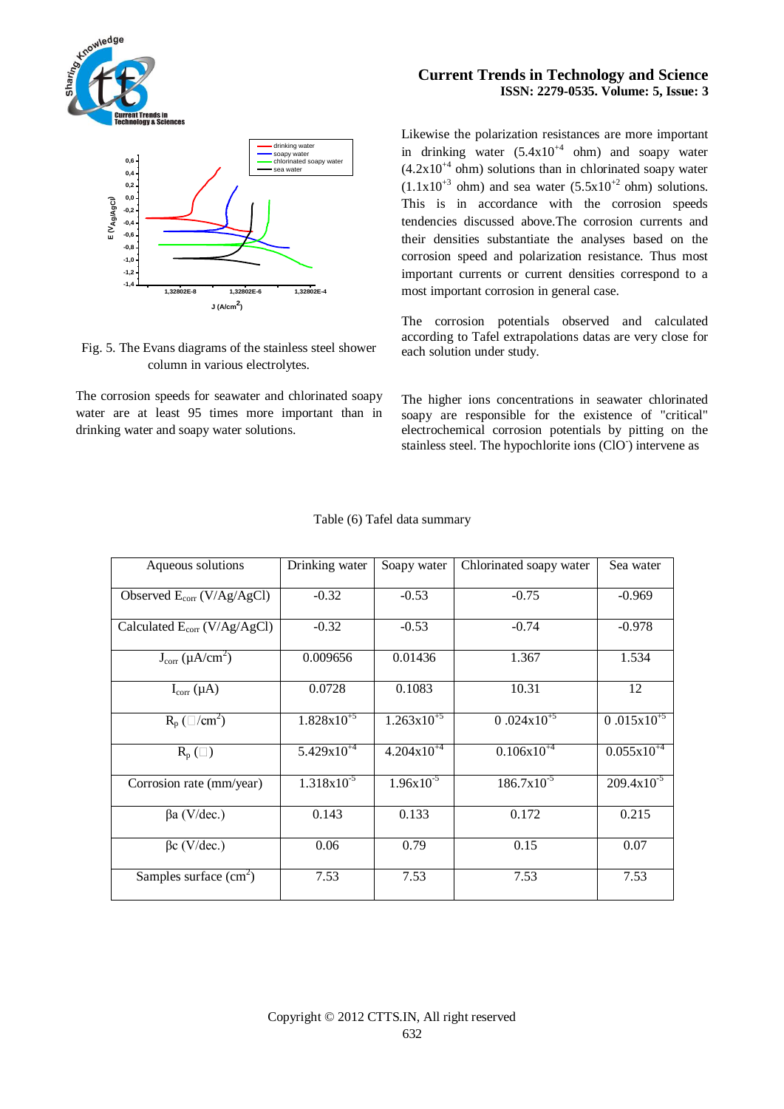

# Fig. 5. The Evans diagrams of the stainless steel shower column in various electrolytes.

The corrosion speeds for seawater and chlorinated soapy water are at least 95 times more important than in drinking water and soapy water solutions.

# **Current Trends in Technology and Science ISSN: 2279-0535. Volume: 5, Issue: 3**

Likewise the polarization resistances are more important in drinking water  $(5.4 \times 10^{44} \text{ ohm})$  and soapy water  $(4.2x10^{+4}$  ohm) solutions than in chlorinated soapy water  $(1.1x10^{+3}$  ohm) and sea water  $(5.5x10^{+2}$  ohm) solutions. This is in accordance with the corrosion speeds tendencies discussed above.The corrosion currents and their densities substantiate the analyses based on the corrosion speed and polarization resistance. Thus most important currents or current densities correspond to a most important corrosion in general case.

The corrosion potentials observed and calculated according to Tafel extrapolations datas are very close for each solution under study.

The higher ions concentrations in seawater chlorinated soapy are responsible for the existence of "critical" electrochemical corrosion potentials by pitting on the stainless steel. The hypochlorite ions (ClO<sup>-</sup>) intervene as

| Aqueous solutions                 | Drinking water         | Soapy water            | Chlorinated soapy water | Sea water       |
|-----------------------------------|------------------------|------------------------|-------------------------|-----------------|
| Observed $E_{corr}$ (V/Ag/AgCl)   | $-0.32$                | $-0.53$                | $-0.75$                 | $-0.969$        |
| Calculated $E_{corr}$ (V/Ag/AgCl) | $-0.32$                | $-0.53$                | $-0.74$                 | $-0.978$        |
| $J_{\rm corr}$ ( $\mu A/cm^2$ )   | 0.009656               | 0.01436                | 1.367                   | 1.534           |
| $I_{\text{corr}}(\mu A)$          | 0.0728                 | 0.1083                 | 10.31                   | 12              |
| $R_p$ ( $\Box$ /cm <sup>2</sup> ) | $1.828 \times 10^{-5}$ | $1.263 \times 10^{+5}$ | $0.024 \times 10^{+5}$  | $0.015x10^{+5}$ |
| $R_p(\Box)$                       | $5.429 \times 10^{-4}$ | $4.204 \times 10^{+4}$ | $0.106x10^{+4}$         | $0.055x10^{+4}$ |
| Corrosion rate (mm/year)          | $1.318x10^{-5}$        | $1.96x10^{-5}$         | $186.7x10^{-5}$         | $209.4x10^{-5}$ |
| $\beta$ a (V/dec.)                | 0.143                  | 0.133                  | 0.172                   | 0.215           |
| $\beta c$ (V/dec.)                | 0.06                   | 0.79                   | 0.15                    | 0.07            |
| Samples surface $(cm2)$           | 7.53                   | 7.53                   | 7.53                    | 7.53            |

#### Table (6) Tafel data summary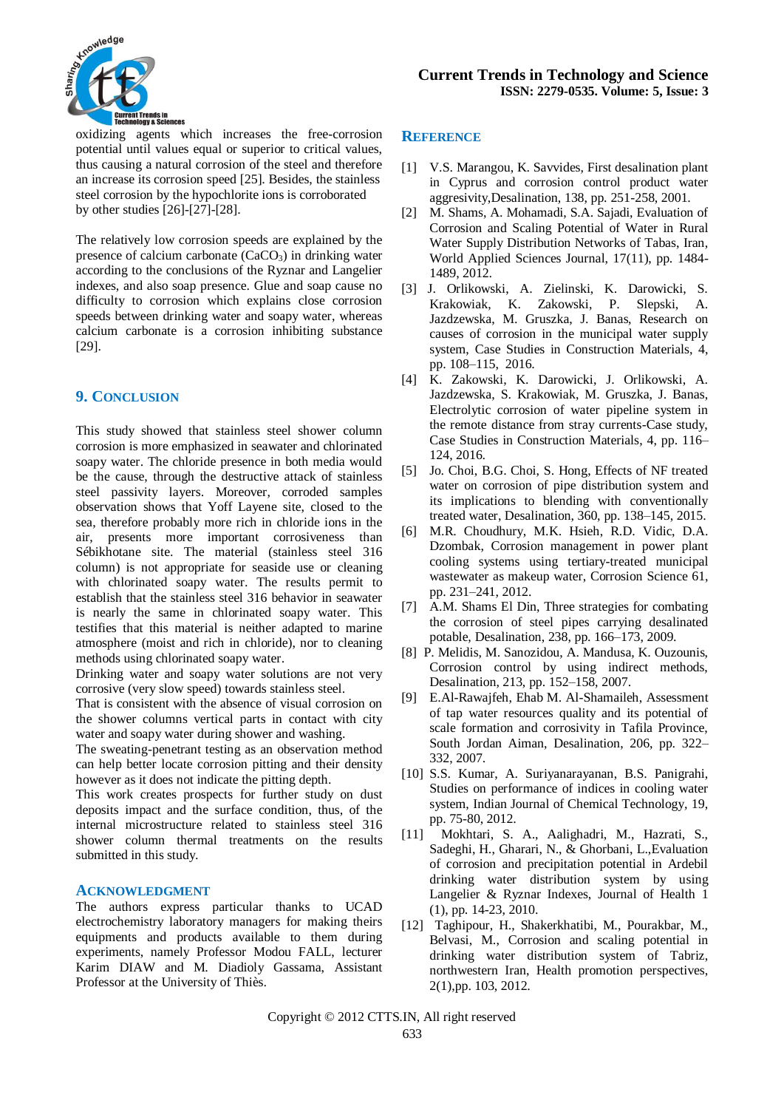

oxidizing agents which increases the free-corrosion potential until values equal or superior to critical values, thus causing a natural corrosion of the steel and therefore an increase its corrosion speed [25]. Besides, the stainless steel corrosion by the hypochlorite ions is corroborated by other studies [26]-[27]-[28].

The relatively low corrosion speeds are explained by the presence of calcium carbonate  $(CaCO<sub>3</sub>)$  in drinking water according to the conclusions of the Ryznar and Langelier indexes, and also soap presence. Glue and soap cause no difficulty to corrosion which explains close corrosion speeds between drinking water and soapy water, whereas calcium carbonate is a corrosion inhibiting substance [29].

# **9. CONCLUSION**

This study showed that stainless steel shower column corrosion is more emphasized in seawater and chlorinated soapy water. The chloride presence in both media would be the cause, through the destructive attack of stainless steel passivity layers. Moreover, corroded samples observation shows that Yoff Layene site, closed to the sea, therefore probably more rich in chloride ions in the air, presents more important corrosiveness than Sébikhotane site. The material (stainless steel 316 column) is not appropriate for seaside use or cleaning with chlorinated soapy water. The results permit to establish that the stainless steel 316 behavior in seawater is nearly the same in chlorinated soapy water. This testifies that this material is neither adapted to marine atmosphere (moist and rich in chloride), nor to cleaning methods using chlorinated soapy water.

Drinking water and soapy water solutions are not very corrosive (very slow speed) towards stainless steel.

That is consistent with the absence of visual corrosion on the shower columns vertical parts in contact with city water and soapy water during shower and washing.

The sweating-penetrant testing as an observation method can help better locate corrosion pitting and their density however as it does not indicate the pitting depth.

This work creates prospects for further study on dust deposits impact and the surface condition, thus, of the internal microstructure related to stainless steel 316 shower column thermal treatments on the results submitted in this study.

## **ACKNOWLEDGMENT**

The authors express particular thanks to UCAD electrochemistry laboratory managers for making theirs equipments and products available to them during experiments, namely Professor Modou FALL, lecturer Karim DIAW and M. Diadioly Gassama, Assistant Professor at the University of Thiès.

## **REFERENCE**

- [1] V.S. Marangou, K. Savvides, First desalination plant in Cyprus and corrosion control product water aggresivity,Desalination, 138, pp. 251-258, 2001.
- [2] M. Shams, A. Mohamadi, S.A. Sajadi, Evaluation of Corrosion and Scaling Potential of Water in Rural Water Supply Distribution Networks of Tabas, Iran, World Applied Sciences Journal, 17(11), pp. 1484- 1489, 2012.
- [3] J. Orlikowski, A. Zielinski, K. Darowicki, S. Krakowiak, K. Zakowski, P. Slepski, A. Jazdzewska, M. Gruszka, J. Banas, Research on causes of corrosion in the municipal water supply system, Case Studies in Construction Materials, 4, pp. 108–115, 2016.
- [4] K. Zakowski, K. Darowicki, J. Orlikowski, A. Jazdzewska, S. Krakowiak, M. Gruszka, J. Banas, Electrolytic corrosion of water pipeline system in the remote distance from stray currents-Case study, Case Studies in Construction Materials, 4, pp. 116– 124, 2016.
- [5] Jo. Choi, B.G. Choi, S. Hong, Effects of NF treated water on corrosion of pipe distribution system and its implications to blending with conventionally treated water, Desalination, 360, pp. 138–145, 2015.
- [6] M.R. Choudhury, M.K. Hsieh, R.D. Vidic, D.A. Dzombak, Corrosion management in power plant cooling systems using tertiary-treated municipal wastewater as makeup water, Corrosion Science 61, pp. 231–241, 2012.
- [7] A.M. Shams El Din, Three strategies for combating the corrosion of steel pipes carrying desalinated potable, Desalination, 238, pp. 166–173, 2009.
- [8] P. Melidis, M. Sanozidou, A. Mandusa, K. Ouzounis, Corrosion control by using indirect methods, Desalination, 213, pp. 152–158, 2007.
- [9] E.Al-Rawajfeh, Ehab M. Al-Shamaileh, Assessment of tap water resources quality and its potential of scale formation and corrosivity in Tafila Province, South Jordan Aiman, Desalination, 206, pp. 322– 332, 2007.
- [10] S.S. Kumar, A. Suriyanarayanan, B.S. Panigrahi, Studies on performance of indices in cooling water system, Indian Journal of Chemical Technology, 19, pp. 75-80, 2012.
- [11] Mokhtari, S. A., Aalighadri, M., Hazrati, S., Sadeghi, H., Gharari, N., & Ghorbani, L.,Evaluation of corrosion and precipitation potential in Ardebil drinking water distribution system by using Langelier & Ryznar Indexes, Journal of Health 1 (1), pp. 14-23, 2010.
- [12] Taghipour, H., Shakerkhatibi, M., Pourakbar, M., Belvasi, M., Corrosion and scaling potential in drinking water distribution system of Tabriz, northwestern Iran, Health promotion perspectives, 2(1),pp. 103, 2012.